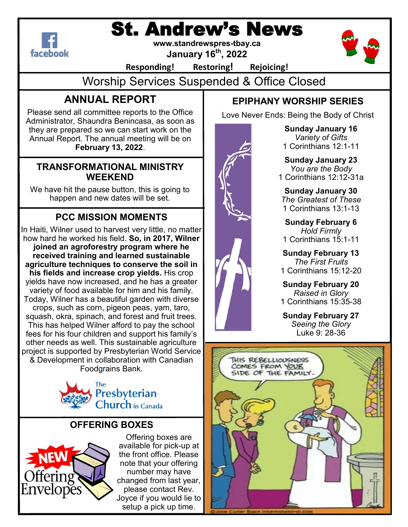

# St. Andrew's News

**www.standrewspres-tbay.ca**

**January 16th, 2022**



**Responding! Restoring! Rejoicing!**

Worship Services Suspended & Office Closed

# **ANNUAL REPORT**

Please send all committee reports to the Office Administrator, Shaundra Benincasa, as soon as they are prepared so we can start work on the Annual Report. The annual meeting will be on **February 13, 2022**.

## **TRANSFORMATIONAL MINISTRY WEEKEND**

We have hit the pause button, this is going to happen and new dates will be set.

# **PCC MISSION MOMENTS**

In Haiti, Wilner used to harvest very little, no matter how hard he worked his field. **So, in 2017, Wilner joined an agroforestry program where he received training and learned sustainable agriculture techniques to conserve the soil in his fields and increase crop yields.** His crop yields have now increased, and he has a greater variety of food available for him and his family. Today, Wilner has a beautiful garden with diverse crops, such as corn, pigeon peas, yam, taro, squash, okra, spinach, and forest and fruit trees. This has helped Wilner afford to pay the school fees for his four children and support his family's other needs as well. This sustainable agriculture project is supported by Presbyterian World Service & Development in collaboration with Canadian Foodgrains Bank.



# **OFFERING BOXES**



Offering boxes are available for pick-up at the front office. Please note that your offering number may have changed from last year, please contact Rev. Joyce if you would lie to setup a pick up time.



**Sunday January 16**  *Variety of Gifts*  1 Corinthians 12:1-11

**EPIPHANY WORSHIP SERIES**

Love Never Ends: Being the Body of Christ

**Sunday January 23**  *You are the Body* 1 Corinthians 12:12-31a

**Sunday January 30**  *The Greatest of These*  1 Corinthians 13:1-13

**Sunday February 6**  *Hold Firmly*  1 Corinthians 15:1-11

**Sunday February 13**  *The First Fruits*  1 Corinthians 15:12-20

**Sunday February 20**  *Raised in Glory*  1 Corinthians 15:35-38

**Sunday February 27**  *Seeing the Glory*  Luke 9: 28-36